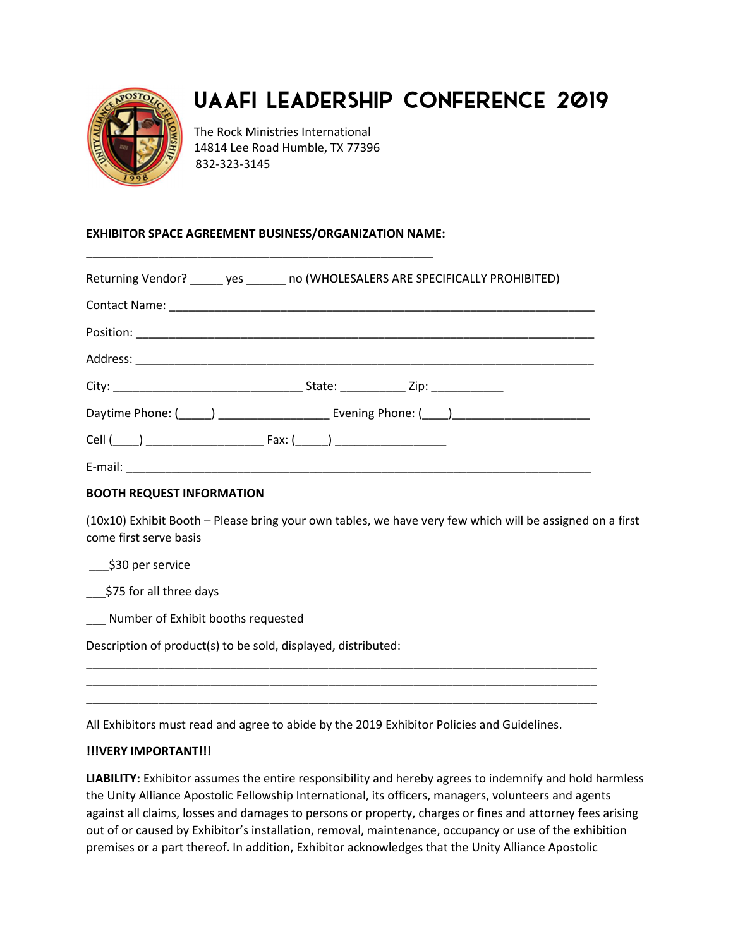

## UAAFI leadership conference 2019

The Rock Ministries International 14814 Lee Road Humble, TX 77396 832-323-3145

## EXHIBITOR SPACE AGREEMENT BUSINESS/ORGANIZATION NAME: \_\_\_\_\_\_\_\_\_\_\_\_\_\_\_\_\_\_\_\_\_\_\_\_\_\_\_\_\_\_\_\_\_\_\_\_\_\_\_\_\_\_\_\_\_\_\_\_\_\_\_\_\_

|                                  | Returning Vendor? ______ yes _______ no (WHOLESALERS ARE SPECIFICALLY PROHIBITED)                        |
|----------------------------------|----------------------------------------------------------------------------------------------------------|
|                                  |                                                                                                          |
|                                  |                                                                                                          |
|                                  |                                                                                                          |
|                                  |                                                                                                          |
|                                  |                                                                                                          |
|                                  |                                                                                                          |
|                                  |                                                                                                          |
| <b>BOOTH REQUEST INFORMATION</b> |                                                                                                          |
| come first serve basis           | (10x10) Exhibit Booth - Please bring your own tables, we have very few which will be assigned on a first |

\_\_\_\$30 per service

\_\_\_\$75 for all three days

\_\_\_ Number of Exhibit booths requested

Description of product(s) to be sold, displayed, distributed:

All Exhibitors must read and agree to abide by the 2019 Exhibitor Policies and Guidelines.

\_\_\_\_\_\_\_\_\_\_\_\_\_\_\_\_\_\_\_\_\_\_\_\_\_\_\_\_\_\_\_\_\_\_\_\_\_\_\_\_\_\_\_\_\_\_\_\_\_\_\_\_\_\_\_\_\_\_\_\_\_\_\_\_\_\_\_\_\_\_\_\_\_\_\_\_\_\_ \_\_\_\_\_\_\_\_\_\_\_\_\_\_\_\_\_\_\_\_\_\_\_\_\_\_\_\_\_\_\_\_\_\_\_\_\_\_\_\_\_\_\_\_\_\_\_\_\_\_\_\_\_\_\_\_\_\_\_\_\_\_\_\_\_\_\_\_\_\_\_\_\_\_\_\_\_\_ \_\_\_\_\_\_\_\_\_\_\_\_\_\_\_\_\_\_\_\_\_\_\_\_\_\_\_\_\_\_\_\_\_\_\_\_\_\_\_\_\_\_\_\_\_\_\_\_\_\_\_\_\_\_\_\_\_\_\_\_\_\_\_\_\_\_\_\_\_\_\_\_\_\_\_\_\_\_

## !!!VERY IMPORTANT!!!

LIABILITY: Exhibitor assumes the entire responsibility and hereby agrees to indemnify and hold harmless the Unity Alliance Apostolic Fellowship International, its officers, managers, volunteers and agents against all claims, losses and damages to persons or property, charges or fines and attorney fees arising out of or caused by Exhibitor's installation, removal, maintenance, occupancy or use of the exhibition premises or a part thereof. In addition, Exhibitor acknowledges that the Unity Alliance Apostolic